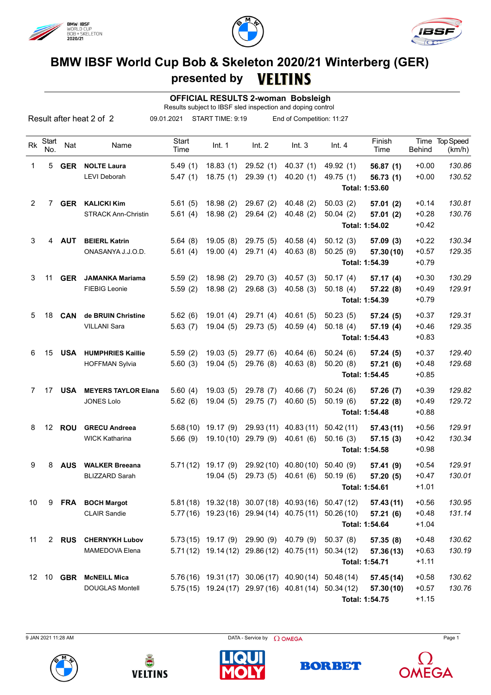





## **BMW IBSF World Cup Bob & Skeleton 2020/21 Winterberg (GER) presented by**

 **OFFICIAL RESULTS 2-woman Bobsleigh**

Results subject to IBSF sled inspection and doping control

|    |                   |               | Result after heat 2 of 2   | 09.01.2021           | START TIME: 9:19 |                                | End of Competition: 11:27                             |           |                            |               |                          |
|----|-------------------|---------------|----------------------------|----------------------|------------------|--------------------------------|-------------------------------------------------------|-----------|----------------------------|---------------|--------------------------|
| Rk | Start<br>No.      | Nat           | Name                       | <b>Start</b><br>Time | Int. 1           | Int. 2                         | Int.3                                                 | Int.4     | Finish<br>Time             | <b>Behind</b> | Time Top Speed<br>(km/h) |
| 1  | 5                 | <b>GER</b>    | <b>NOLTE Laura</b>         | 5.49(1)              | 18.83(1)         | 29.52(1)                       | 40.37(1)                                              | 49.92 (1) | 56.87(1)                   | $+0.00$       | 130.86                   |
|    |                   |               | <b>LEVI Deborah</b>        | 5.47(1)              | 18.75(1)         | 29.39(1)                       | 40.20(1)                                              | 49.75 (1) | 56.73(1)<br>Total: 1:53.60 | $+0.00$       | 130.52                   |
| 2  |                   | 7 GER         | <b>KALICKI Kim</b>         | 5.61(5)              | 18.98(2)         | 29.67(2)                       | 40.48(2)                                              | 50.03(2)  | 57.01(2)                   | $+0.14$       | 130.81                   |
|    |                   |               | <b>STRACK Ann-Christin</b> | 5.61(4)              | 18.98(2)         | 29.64(2)                       | 40.48(2)                                              | 50.04(2)  | 57.01 (2)                  | $+0.28$       | 130.76                   |
|    |                   |               |                            |                      |                  |                                |                                                       |           | Total: 1:54.02             | $+0.42$       |                          |
| 3  | 4                 | AUT           | <b>BEIERL Katrin</b>       | 5.64(8)              | 19.05(8)         | 29.75(5)                       | 40.58(4)                                              | 50.12(3)  | 57.09(3)                   | $+0.22$       | 130.34                   |
|    |                   |               | ONASANYA J.J.O.D.          | 5.61(4)              | 19.00(4)         | 29.71(4)                       | 40.63(8)                                              | 50.25(9)  | 57.30 (10)                 | $+0.57$       | 129.35                   |
|    |                   |               |                            |                      |                  |                                |                                                       |           | Total: 1:54.39             | $+0.79$       |                          |
| 3  | 11                | <b>GER</b>    | <b>JAMANKA Mariama</b>     | 5.59(2)              | 18.98(2)         | 29.70 (3)                      | 40.57(3)                                              | 50.17(4)  | 57.17(4)                   | $+0.30$       | 130.29                   |
|    |                   |               | <b>FIEBIG Leonie</b>       | 5.59(2)              | 18.98(2)         | 29.68(3)                       | 40.58(3)                                              | 50.18(4)  | 57.22(8)                   | $+0.49$       | 129.91                   |
|    |                   |               |                            |                      |                  |                                |                                                       |           | Total: 1:54.39             | $+0.79$       |                          |
| 5  | 18                | <b>CAN</b>    | de BRUIN Christine         | 5.62(6)              | 19.01(4)         | 29.71(4)                       | 40.61(5)                                              | 50.23(5)  | 57.24(5)                   | $+0.37$       | 129.31                   |
|    |                   |               | <b>VILLANI Sara</b>        | 5.63(7)              | 19.04(5)         | 29.73 (5)                      | 40.59(4)                                              | 50.18(4)  | 57.19 (4)                  | $+0.46$       | 129.35                   |
|    |                   |               |                            |                      |                  |                                |                                                       |           | Total: 1:54.43             | $+0.83$       |                          |
| 6  | 15                | <b>USA</b>    | <b>HUMPHRIES Kaillie</b>   | 5.59(2)              | 19.03(5)         | 29.77 (6)                      | 40.64(6)                                              | 50.24(6)  | 57.24(5)                   | $+0.37$       | 129.40                   |
|    |                   |               | <b>HOFFMAN Sylvia</b>      | 5.60(3)              | 19.04(5)         | 29.76 (8)                      | 40.63(8)                                              | 50.20(8)  | 57.21(6)                   | $+0.48$       | 129.68                   |
|    |                   |               |                            |                      |                  |                                |                                                       |           | Total: 1:54.45             | $+0.85$       |                          |
| 7  | 17                | <b>USA</b>    | <b>MEYERS TAYLOR Elana</b> | 5.60(4)              | 19.03(5)         | 29.78 (7)                      | 40.66 (7)                                             | 50.24(6)  | 57.26 (7)                  | $+0.39$       | 129.82                   |
|    |                   |               | <b>JONES Lolo</b>          | 5.62(6)              | 19.04(5)         | 29.75(7)                       | 40.60(5)                                              | 50.19(6)  | 57.22 (8)                  | $+0.49$       | 129.72                   |
|    |                   |               |                            |                      |                  |                                |                                                       |           | Total: 1:54.48             | $+0.88$       |                          |
| 8  | $12 \overline{ }$ | <b>ROU</b>    | <b>GRECU Andreea</b>       | 5.68(10)             | 19.17 (9)        | 29.93 (11)                     | 40.83(11)                                             | 50.42(11) | 57.43 (11)                 | $+0.56$       | 129.91                   |
|    |                   |               | <b>WICK Katharina</b>      | 5.66(9)              | 19.10(10)        | 29.79 (9)                      | 40.61(6)                                              | 50.16(3)  | 57.15(3)                   | $+0.42$       | 130.34                   |
|    |                   |               |                            |                      |                  |                                |                                                       |           | Total: 1:54.58             | $+0.98$       |                          |
| 9  | 8                 | <b>AUS</b>    | <b>WALKER Breeana</b>      | 5.71(12)             | 19.17(9)         | 29.92(10)                      | 40.80(10)                                             | 50.40(9)  | 57.41 (9)                  | $+0.54$       | 129.91                   |
|    |                   |               | <b>BLIZZARD Sarah</b>      |                      | 19.04(5)         | 29.73 (5)                      | 40.61(6)                                              | 50.19(6)  | 57.20 (5)                  | $+0.47$       | 130.01                   |
|    |                   |               |                            |                      |                  |                                |                                                       |           | Total: 1:54.61             | $+1.01$       |                          |
| 10 |                   |               | 9 FRA BOCH Margot          |                      |                  |                                | 5.81 (18) 19.32 (18) 30.07 (18) 40.93 (16) 50.47 (12) |           | 57.43(11)                  | $+0.56$       | 130.95                   |
|    |                   |               | <b>CLAIR Sandie</b>        |                      |                  |                                | 5.77 (16) 19.23 (16) 29.94 (14) 40.75 (11) 50.26 (10) |           | 57.21(6)                   | $+0.48$       | 131.14                   |
|    |                   |               |                            |                      |                  |                                |                                                       |           | Total: 1:54.64             | $+1.04$       |                          |
| 11 |                   | 2 RUS         | <b>CHERNYKH Lubov</b>      |                      |                  | $5.73(15)$ 19.17 (9) 29.90 (9) | 40.79 (9)                                             | 50.37(8)  | 57.35(8)                   | $+0.48$       | 130.62                   |
|    |                   |               | MAMEDOVA Elena             |                      |                  |                                | 5.71 (12) 19.14 (12) 29.86 (12) 40.75 (11) 50.34 (12) |           | 57.36 (13)                 | $+0.63$       | 130.19                   |
|    |                   |               |                            |                      |                  |                                |                                                       |           | Total: 1:54.71             | $+1.11$       |                          |
| 12 |                   | 10 <b>GBR</b> | <b>McNEILL Mica</b>        |                      |                  |                                | 5.76 (16) 19.31 (17) 30.06 (17) 40.90 (14) 50.48 (14) |           | 57.45 (14)                 | $+0.58$       | 130.62                   |
|    |                   |               | <b>DOUGLAS Montell</b>     |                      |                  |                                | 5.75(15) 19.24(17) 29.97(16) 40.81(14) 50.34(12)      |           | 57.30 (10)                 | $+0.57$       | 130.76                   |
|    |                   |               |                            |                      |                  |                                |                                                       |           | Total: 1:54.75             | $+1.15$       |                          |

9 JAN 2021 11:28 AM Page 1